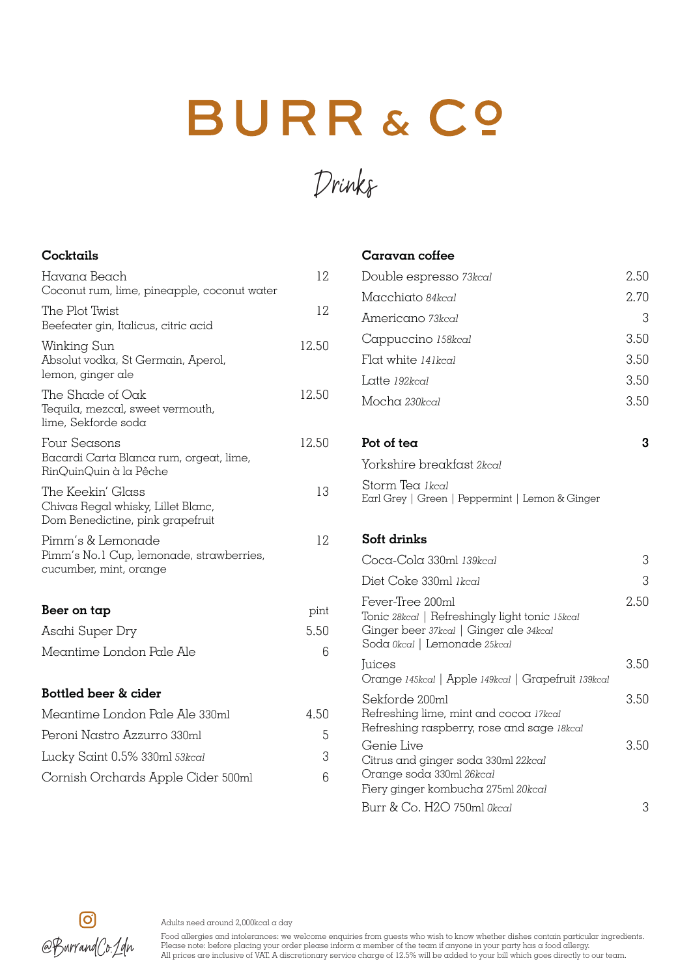## BURR & CO

Drinks

## **Cocktails**

| Havana Beach<br>Coconut rum, lime, pineapple, coconut water                                 | 12    |
|---------------------------------------------------------------------------------------------|-------|
| The Plot Twist<br>Beefeater gin, Italicus, citric acid                                      | 12    |
| Winking Sun<br>Absolut vodka, St Germain, Aperol,<br>lemon, ginger ale                      | 12.50 |
| The Shade of Oak<br>Tequila, mezcal, sweet vermouth,<br>lime, Sekforde soda                 | 12.50 |
| Four Seasons<br>Bacardi Carta Blanca rum, orgeat, lime,<br>RinQuinQuin à la Pêche           | 12.50 |
| The Keekin' Glass<br>Chivas Regal whisky, Lillet Blanc,<br>Dom Benedictine, pink grapefruit | 13    |
| Pimm's & Lemonade<br>Pimm's No.1 Cup, lemonade, strawberries,<br>cucumber, mint, orange     | 12    |
| Beer on tap                                                                                 | pint  |
| Asahi Super Dry                                                                             | 5.50  |
| Meantime London Pale Ale                                                                    | 6     |
| Bottled beer & cider                                                                        |       |
| Meantime London Pale Ale 330ml                                                              | 4.50  |
| Peroni Nastro Azzurro 330ml                                                                 | 5     |
| Lucky Saint 0.5% 330ml 53kcal                                                               | 3     |
| Cornish Orchards Apple Cider 500ml                                                          | 6     |

## **Caravan coffee**

| Double espresso 73 kcal                                                                                                                      | 2.50 |
|----------------------------------------------------------------------------------------------------------------------------------------------|------|
| Macchiato 84kcal                                                                                                                             | 2.70 |
| Americano 73kcal                                                                                                                             | 3    |
| Cappuccino 158kcal                                                                                                                           | 3.50 |
| Flat white 141kcal                                                                                                                           | 3.50 |
| Latte 192kcal                                                                                                                                | 3.50 |
| Mocha 230kcal                                                                                                                                | 3.50 |
| Pot of tea                                                                                                                                   | 3    |
| Yorkshire breakfast 2kcal                                                                                                                    |      |
| Storm Tea Ikcal<br>Earl Grey   Green   Peppermint   Lemon & Ginger                                                                           |      |
| Soft drinks                                                                                                                                  |      |
| Coca-Cola 330ml 139kcal                                                                                                                      | 3    |
| Diet Coke 330ml Ikcal                                                                                                                        | 3    |
| Fever-Tree 200ml<br>Tonic 28kcal   Refreshingly light tonic 15kcal<br>Ginger beer 37kcal   Ginger ale 34kcal<br>Soda Okcal   Lemonade 25kcal | 2.50 |
| <b>Juices</b><br>Orange 145kcal   Apple 149kcal   Grapefruit 139kcal                                                                         | 3.50 |
| Sekforde 200ml<br>Refreshing lime, mint and cocoa 17kcal<br>Refreshing raspberry, rose and sage 18kcal                                       | 3.50 |
| Genie Live<br>Citrus and ginger soda 330ml 22kcal<br>Orange soda 330ml 26kcal                                                                | 3.50 |
| Fiery ginger kombucha 275ml 20kcal<br>Burr & Co. H2O 750ml Okcal                                                                             | 3    |
|                                                                                                                                              |      |



Adults need around 2,000kcal a day

Food allergies and intolerances: we welcome enquiries from guests who wish to know whether dishes contain particular ingredients. rood duergies and intolerances; we welcome enquiries from guests who wish to know whether alshes contain particular ingred.<br>Marrama (C): / alm Please note: before placing your order please inform a member of the team if an